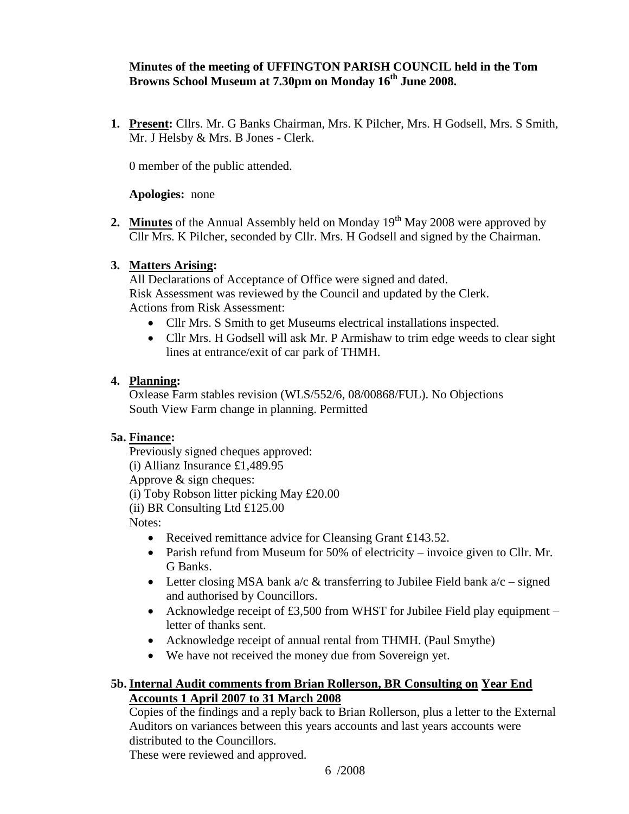## **Minutes of the meeting of UFFINGTON PARISH COUNCIL held in the Tom Browns School Museum at 7.30pm on Monday 16 th June 2008.**

**1. Present:** Cllrs. Mr. G Banks Chairman, Mrs. K Pilcher, Mrs. H Godsell, Mrs. S Smith, Mr. J Helsby & Mrs. B Jones - Clerk.

0 member of the public attended.

#### **Apologies:** none

**2. Minutes** of the Annual Assembly held on Monday  $19<sup>th</sup>$  May 2008 were approved by Cllr Mrs. K Pilcher, seconded by Cllr. Mrs. H Godsell and signed by the Chairman.

### **3. Matters Arising:**

All Declarations of Acceptance of Office were signed and dated. Risk Assessment was reviewed by the Council and updated by the Clerk. Actions from Risk Assessment:

- Cllr Mrs. S Smith to get Museums electrical installations inspected.
- Cllr Mrs. H Godsell will ask Mr. P Armishaw to trim edge weeds to clear sight lines at entrance/exit of car park of THMH.

#### **4. Planning:**

Oxlease Farm stables revision (WLS/552/6, 08/00868/FUL). No Objections South View Farm change in planning. Permitted

### **5a. Finance:**

Previously signed cheques approved: (i) Allianz Insurance £1,489.95 Approve & sign cheques: (i) Toby Robson litter picking May £20.00 (ii) BR Consulting Ltd £125.00 Notes:

- Received remittance advice for Cleansing Grant £143.52.
- Parish refund from Museum for 50% of electricity invoice given to Cllr. Mr. G Banks.
- Letter closing MSA bank a/c  $&$  transferring to Jubilee Field bank a/c signed and authorised by Councillors.
- Acknowledge receipt of £3,500 from WHST for Jubilee Field play equipment letter of thanks sent.
- Acknowledge receipt of annual rental from THMH. (Paul Smythe)
- We have not received the money due from Sovereign yet.

### **5b.Internal Audit comments from Brian Rollerson, BR Consulting on Year End Accounts 1 April 2007 to 31 March 2008**

Copies of the findings and a reply back to Brian Rollerson, plus a letter to the External Auditors on variances between this years accounts and last years accounts were distributed to the Councillors.

These were reviewed and approved.